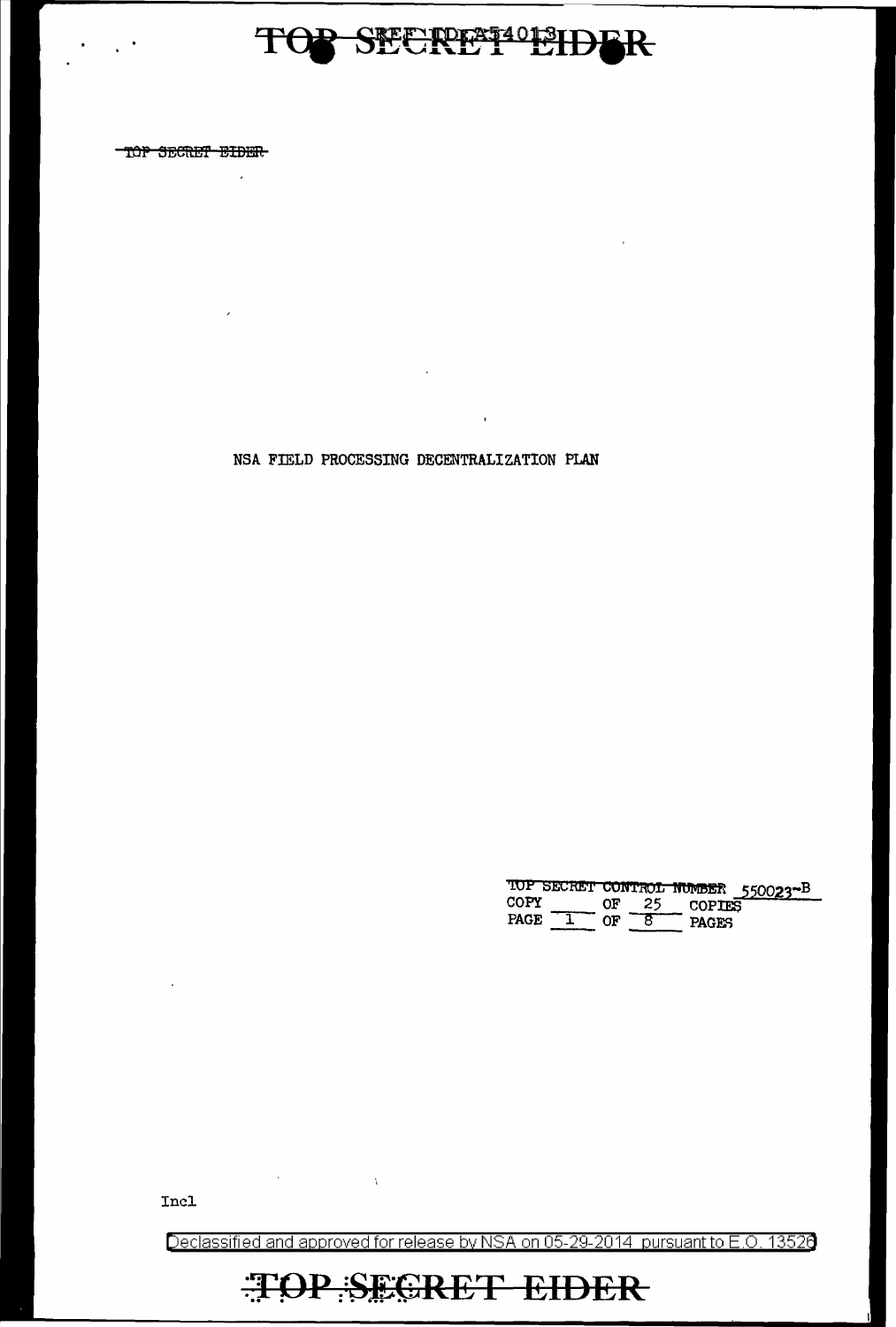# TOP SECRET<sup>4013</sup>IDBR

TOP SECRET EIDER

 $\overline{\phantom{a}}$ 

 $\sim$   $^{\circ}$ 

NSA FIELD PROCESSING DECENTRALIZATION PLAN

 $\ddot{\phantom{a}}$ 

 $\lambda$ 

TOP SECRET CONTROL NUMBER 550023-B<br>COPY OF 25 COPIES<br>PAGE 1 OF 8 PAGES

 $\mathbf{r}$ 

Incl

Declassified and approved for release by NSA on 05-29-2014 pursuant to E.O. 13526

## **TOP SEGRET EIDER**

 $\mathcal{A}^{\text{max}}$  and  $\mathcal{A}^{\text{max}}$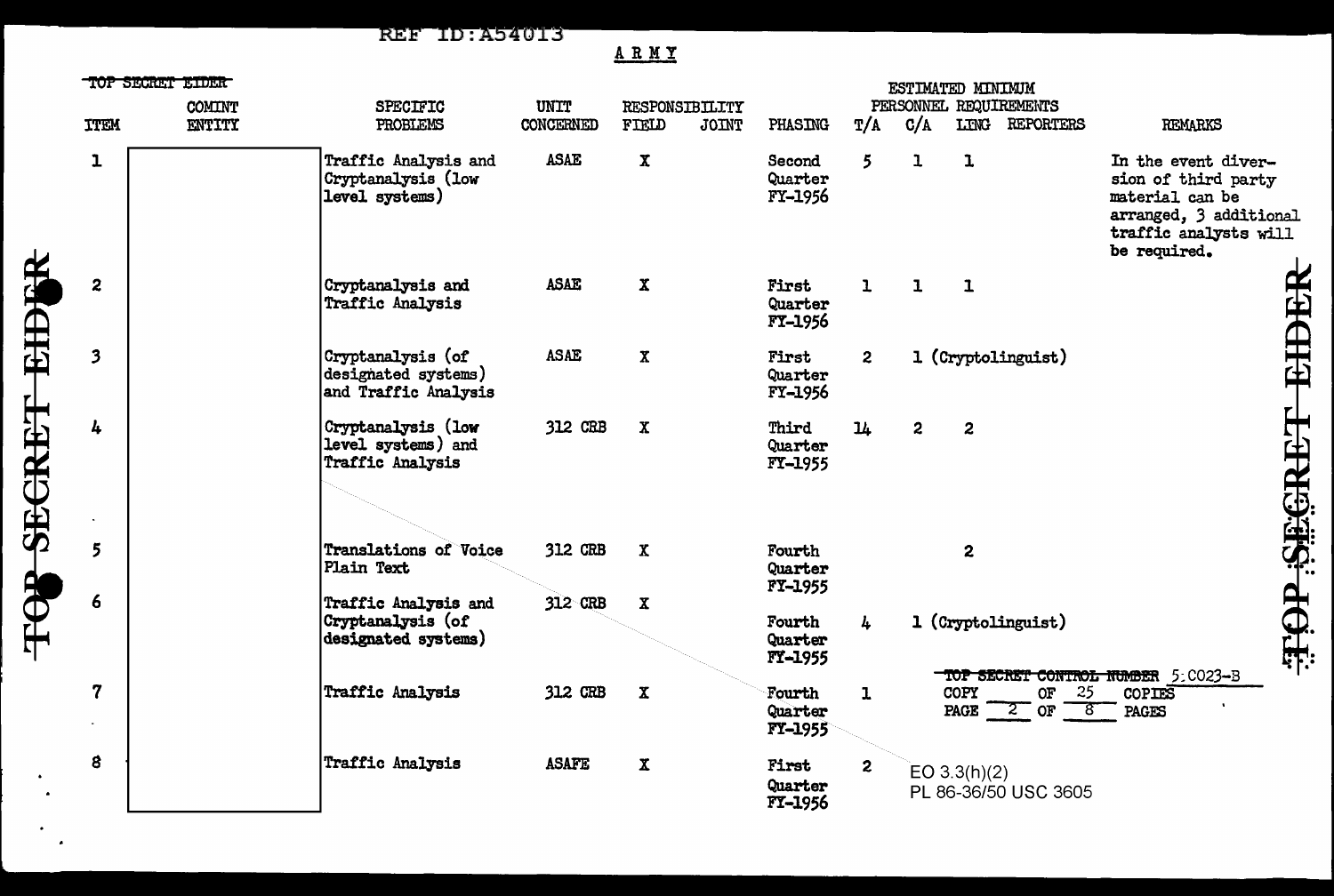**REF ID:A54013** 

TOP SECRET EIDER

 $\bullet$  $\mathbf{A}$  ARMY

|                         | TOP SECRET EIDER<br><b>COMINT</b> | <b>SPECIFIC</b>                                                  | ESTIMATED MINIMUM<br><b>UNIT</b><br>PERSONNEL REQUIREMENTS<br>RESPONSIBILITY |                    |              |                                     |                |                |                |                                      |                                                                                                                                  |
|-------------------------|-----------------------------------|------------------------------------------------------------------|------------------------------------------------------------------------------|--------------------|--------------|-------------------------------------|----------------|----------------|----------------|--------------------------------------|----------------------------------------------------------------------------------------------------------------------------------|
| <b>ITEM</b>             | ENTITY                            | PROBLEMS                                                         | <b>CONCERNED</b>                                                             | FIELD              | <b>JOINT</b> | PHASING                             | T/A            | C/A            |                | LING REPORTERS                       | <b>REMARKS</b>                                                                                                                   |
| $\mathbf 1$             |                                   | Traffic Analysis and<br>Cryptanalysis (low<br>level systems)     | <b>ASAE</b>                                                                  | $\mathbf x$        |              | Second<br>Quarter<br>FY-1956        | 5              | ı              | ı              |                                      | In the event diver-<br>sion of third party<br>material can be<br>arranged, 3 additional<br>traffic analysts will<br>be required. |
| $\boldsymbol{z}$        |                                   | Cryptanalysis and<br>Traffic Analysis                            | <b>ASAE</b>                                                                  | $\mathbf x$        |              | First<br>Quarter<br>FY-1956         | $\mathbf{1}$   | $\mathbf{I}$   | $\mathbf{1}$   |                                      | EHDER                                                                                                                            |
| $\overline{\mathbf{3}}$ |                                   | Cryptanalysis (of<br>designated systems)<br>and Traffic Analysis | <b>ASAE</b>                                                                  | $\mathbf{x}$       |              | First<br>Quarter<br>FY-1956         | $\overline{2}$ |                |                | 1 (Cryptolinguist)                   |                                                                                                                                  |
| 4                       |                                   | Cryptanalysis (low<br>level systems) and<br>Traffic Analysis     | 312 CRB                                                                      | $\mathbf x$        |              | Third<br>Quarter<br>FY-1955         | $\mathbf{u}$   | $\overline{2}$ | $\overline{2}$ |                                      | TARE SEGRET                                                                                                                      |
| $5\overline{)}$         |                                   | <b>Translations of Voice</b><br>Plain Text                       | 312 CRB                                                                      | $\mathbf x$        |              | Fourth<br>Quarter<br><b>FY-1955</b> |                |                | 2              |                                      |                                                                                                                                  |
| 6                       |                                   | Traffic Analysis and<br>Cryptanalysis (of<br>designated systems) | 312 CRB                                                                      | $\pmb{\mathsf{X}}$ |              | Fourth<br>Quarter<br>FY-1955        | 4              |                |                | 1 (Cryptolinguist)                   | TOP SECRET CONTROL NUMBER 5: CO23-B                                                                                              |
| $\boldsymbol{7}$        |                                   | <b>Traffic Analysis</b>                                          | 312 CRB                                                                      | $\mathbf{x}$       |              | Fourth<br>Quarter<br>FY-1955        | ı              |                | <b>COPY</b>    | <b>OF</b><br>- 25<br>PAGE $2$ or $8$ | <b>COPIES</b><br>PAGES                                                                                                           |
| 8                       |                                   | Traffic Analysis                                                 | <b>ASAFE</b>                                                                 | $\mathbf x$        |              | First<br>Quarter<br>FY-1956         | $\mathbf{2}$   |                | EO $3.3(h)(2)$ | PL 86-36/50 USC 3605                 |                                                                                                                                  |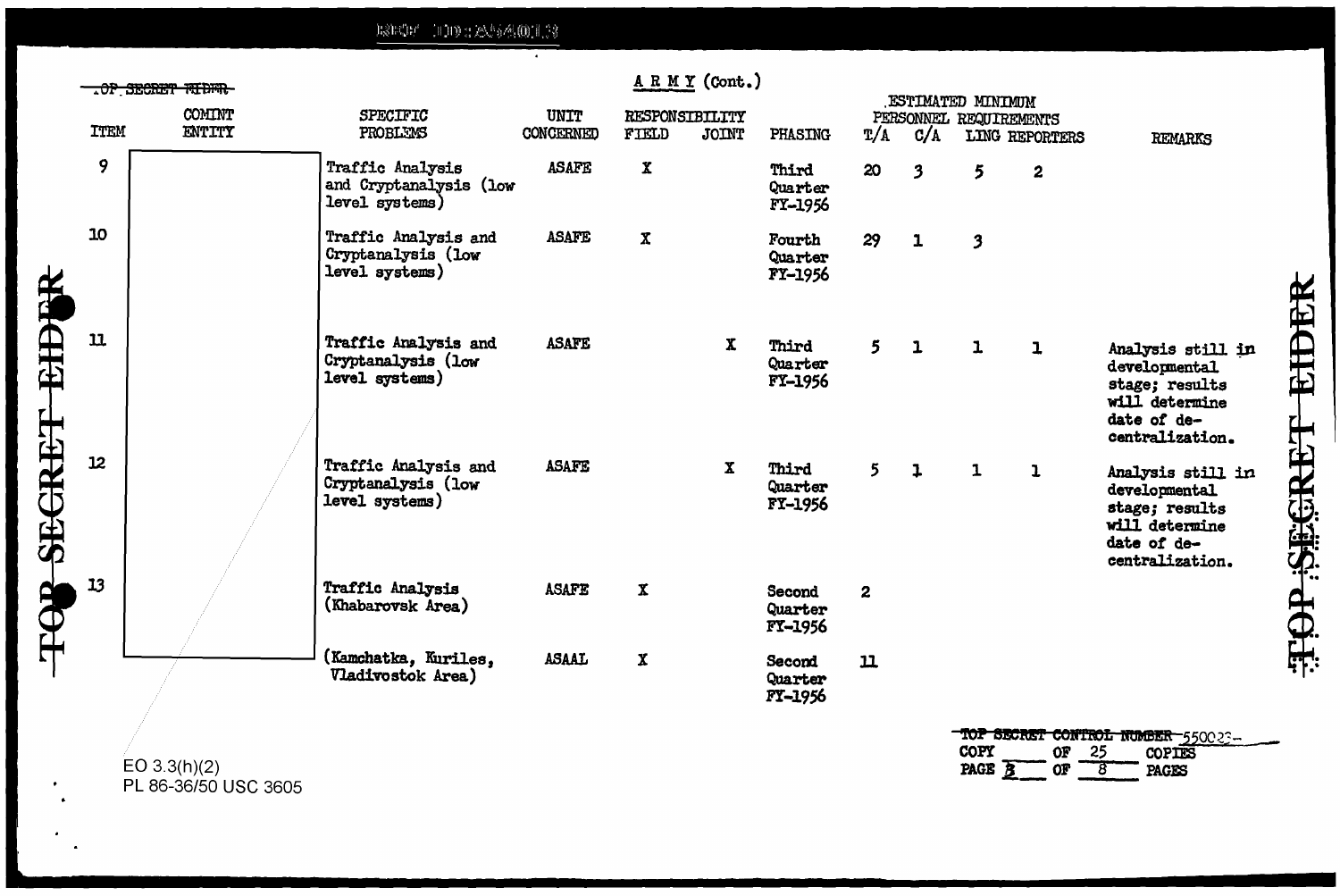$\text{B} \mathcal{S} \text{B} \mathcal{C} \text{B} \mathcal{P} = \left( \text{B} \right) \text{B} \oplus \left( \text{B} \right) \mathcal{S} \text{B} \left( \text{B} \right) \text{B} \left( \text{B} \right) \mathcal{S}$ 

|              | ARMY (Cont.)<br>.OP SECRET FIDER<br>ESTIMATED MINIMUM |                  |                                                              |                   |                           |              |                              |                |     |                         |                  |                                                                                                          |               |
|--------------|-------------------------------------------------------|------------------|--------------------------------------------------------------|-------------------|---------------------------|--------------|------------------------------|----------------|-----|-------------------------|------------------|----------------------------------------------------------------------------------------------------------|---------------|
|              | <b>TTEM</b>                                           | COMINT<br>ENTITY | SPECIFIC<br>PROBLEMS                                         | UNIT<br>CONCERNED | RESPONSIBILITY<br>FIELD   | JOINT        | PHASING                      | $\frac{L}{A}$  | C/A | PERSONNEL REQUIREMENTS  | LING REPORTERS   | <b>REMARKS</b>                                                                                           |               |
|              | 9                                                     |                  | Traffic Analysis<br>and Cryptanalysis (low<br>level systems) | <b>ASAFE</b>      | $\mathbf x$               |              | Third<br>Quarter<br>FY-1956  | 20             | 3   | 5                       | $\boldsymbol{2}$ |                                                                                                          |               |
|              | 10                                                    |                  | Traffic Analysis and<br>Cryptanalysis (low<br>level systems) | <b>ASAFE</b>      | $\mathbf x$               |              | Fourth<br>Quarter<br>FY-1956 | 29             | 1   | $\overline{\mathbf{3}}$ |                  |                                                                                                          |               |
| SECRET EIDER | $\mathbf u$                                           |                  | Traffic Analysis and<br>Cryptanalysis (low<br>level systems) | <b>ASAFE</b>      |                           | $\mathbf{x}$ | Third<br>Quarter<br>FY-1956  | 5              | 1   | $\mathbf{1}$            | ı                | Analysis still in<br>developmental<br>stage; results<br>will determine<br>date of de-<br>centralization. | EIDER         |
|              | 12                                                    |                  | Traffic Analysis and<br>Cryptanalysis (low<br>level systems) | <b>ASAFE</b>      |                           | $\mathbf{x}$ | Third<br>Quarter<br>FY-1956  | 5 <sup>1</sup> | 1   | $\mathbf{1}$            | ı                | Analysis still in<br>developmental<br>stage; results<br>will determine<br>date of de-<br>centralization. | <b>REGRET</b> |
| FOR          | 13                                                    |                  | Traffic Analysis<br>(Khabarovsk Area)                        | <b>ASAFE</b>      | $\boldsymbol{\mathrm{X}}$ |              | Second<br>Quarter<br>FY-1956 | $\mathbf{2}$   |     |                         |                  |                                                                                                          | HOT           |
|              |                                                       |                  | (Kamchatka, Kuriles,<br>Vladivostok Area)                    | <b>ASAAL</b>      | $\mathbf x$               |              | Second<br>Quarter<br>FY-1956 | $\mathbf u$    |     |                         |                  |                                                                                                          |               |
|              |                                                       | $\Box \cap 2.2$  |                                                              |                   |                           |              |                              |                |     | COPY                    | <b>OF</b>        | TOP SECRET CONTROL NUMBER 550023-<br>25<br>COPIES                                                        |               |

EO 3.3(h)(2)<br>PL 86-36/50 USC 3605

PAGE  $B_{-}$  $O_{\mathbf{F}}$  $8$ PAGES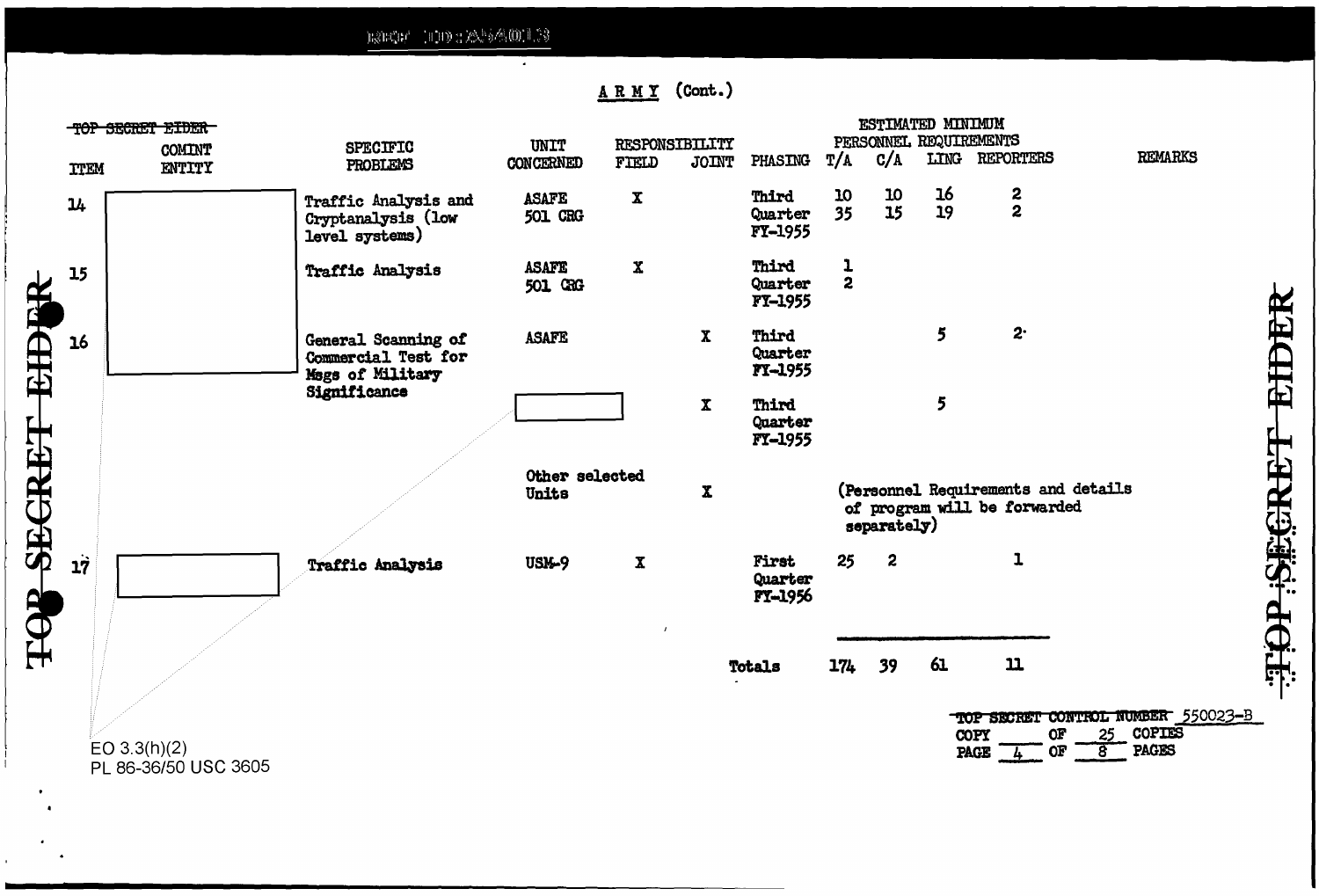$\text{RSE}(\mathbb{G}) = \big(\text{LHS}\times\mathbb{Z}\big)\cup\text{RSE}(\mathbb{G})\cup\text{SSE}(\mathbb{G})$ 

 $\bullet$ 

ARMY (Cont.)

|                     | <b>TTEM</b> | TOP SECRET EIDER<br><b>COMINT</b><br>ENTITY | <b>SPECIFIC</b><br>PROBLEMS                                    | UNIT<br><b>CONCERNED</b> | RESPONSIBILITY<br>FIELD | <b>JOINT</b> | PHASING                            | T/A                          | C/A              | ESTIMATED MINIMUM<br>PERSONNEL REQUIREMENTS | LING REPORTERS                                                      | <b>REMARKS</b>                                                                             |
|---------------------|-------------|---------------------------------------------|----------------------------------------------------------------|--------------------------|-------------------------|--------------|------------------------------------|------------------------------|------------------|---------------------------------------------|---------------------------------------------------------------------|--------------------------------------------------------------------------------------------|
|                     | 14          |                                             | Traffic Analysis and<br>Cryptanalysis (low<br>level systems)   | <b>ASAFE</b><br>501 CRG  | $\mathbf x$             |              | Third<br>Quarter<br><b>FY-1955</b> | 10<br>35                     | 10<br>15         | 16<br>19                                    | $\frac{2}{2}$                                                       |                                                                                            |
|                     | 15          |                                             | Traffic Analysis                                               | <b>ASAFE</b><br>501 GRG  | $\mathbf{x}$            |              | Third<br>Quarter<br>FT-1955        | $\mathbf{I}$<br>$\mathbf{2}$ |                  |                                             |                                                                     |                                                                                            |
|                     | 16          |                                             | General Scanning of<br>Commercial Test for<br>Mags of Military | <b>ASAFE</b>             |                         | $\mathbf{x}$ | Third<br>Quarter<br>FI-1955        |                              |                  | 5                                           | $2^{\cdot}$                                                         |                                                                                            |
|                     |             |                                             | Significance                                                   |                          |                         | $\mathbf{x}$ | Third<br>Quarter<br>FY-1955        |                              |                  | 5                                           |                                                                     |                                                                                            |
| <b>SECRET EIDER</b> |             |                                             |                                                                | Other selected<br>Units  |                         | $\mathbf{x}$ |                                    |                              | separately)      |                                             | (Personnel Requirements and details<br>of program will be forwarded |                                                                                            |
|                     | 17          |                                             | <b>Traffic Analysis</b>                                        | <b>USM-9</b>             | $\mathbf x$             |              | First<br>Quarter<br>FY-1956        | 25                           | $\boldsymbol{z}$ |                                             | $\mathbf{I}$                                                        |                                                                                            |
| HOP                 |             | EO $3.3(h)(2)$<br>PL 86-36/50 USC 3605      |                                                                |                          | $\mathbf{r}$            |              | Totals                             | 174                          | 39               | 61                                          | $\mathbf{11}$<br>OF<br>COPY<br>PAGE $\frac{1}{4}$ OF                | TOP SECRET CONTROL NUMBER 550023-B<br>25 COPIES<br><b>PAGES</b><br>$\overline{\mathbf{g}}$ |

**AHOP SEGRET EIDER**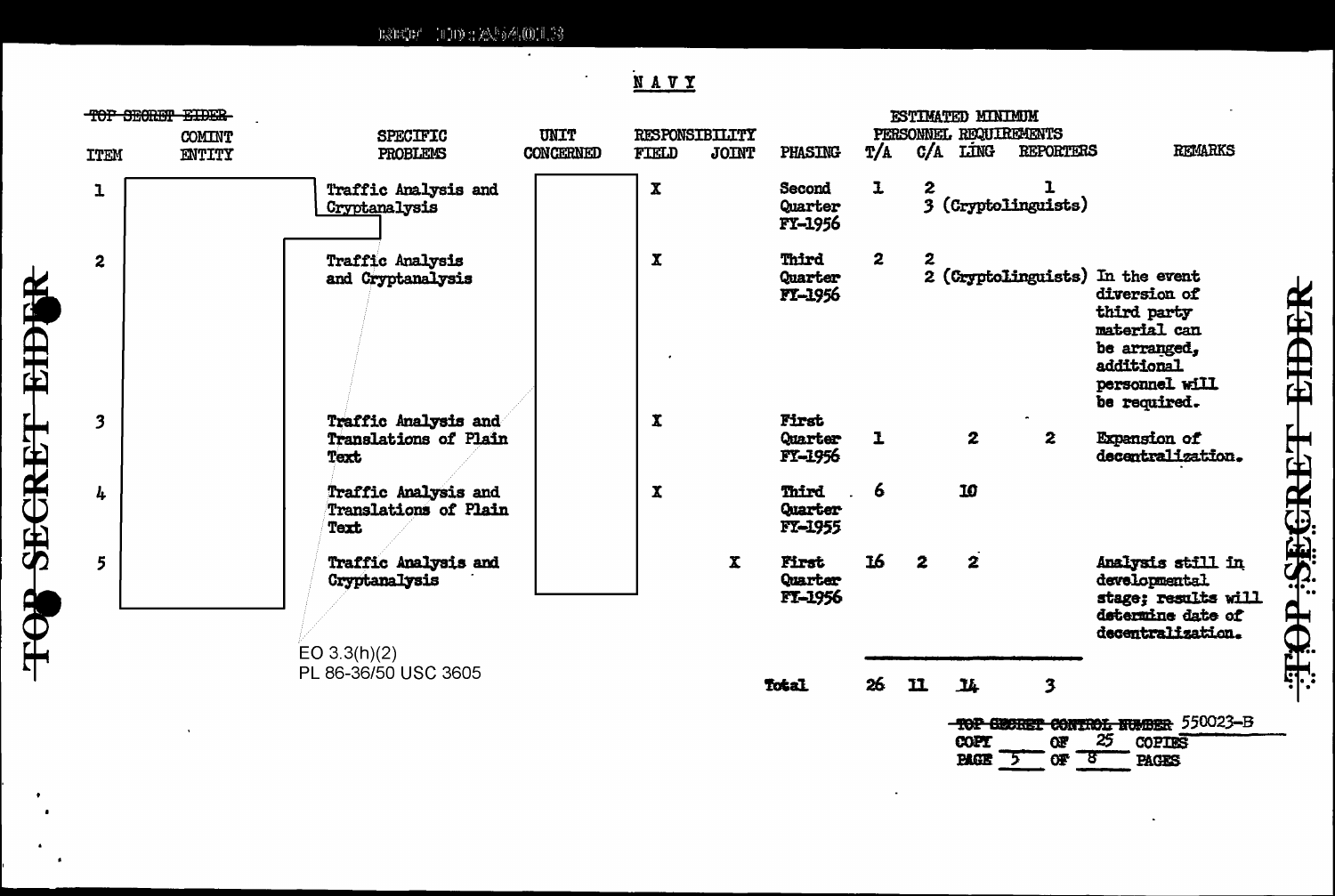$\text{RSE}(\mathbb{H}^n \setminus \mathbb{H}) \cap \text{RSE}(\mathbb{H}^n) \neq \text{RSE}(\mathbb{H}^n) \cap \text{RSE}(\mathbb{H}^n)$ 

 $\overline{\phantom{a}}$ 

 $\mathbb{R}^2$ 

## NAVY

| <b>ITEM</b>             | TOP SECRET EIDER<br><b>COMINT</b><br>ENTITY | <b>SPECIFIC</b><br>PROBLEMS                                  | UNIT<br><b>CONCERNED</b> | RESPONSIBILITY<br>FIELD<br><b>JOINT</b> | PHASING                             | T/A          |              | ESTIMATED MINIMUM<br>$C/A$ $LimG$ | PERSONNEL REQUIREMENTS<br><b>REPORTERS</b> | <b>REMARKS</b>                                                                                                                                  |
|-------------------------|---------------------------------------------|--------------------------------------------------------------|--------------------------|-----------------------------------------|-------------------------------------|--------------|--------------|-----------------------------------|--------------------------------------------|-------------------------------------------------------------------------------------------------------------------------------------------------|
| 1                       |                                             | Traffic Analysis and<br>Cryptanalysis                        |                          | $\mathbf x$                             | Second<br>Quarter<br><b>FY-1956</b> | $\mathbf{I}$ | 2            |                                   | 3 (Cryptolinguists)                        |                                                                                                                                                 |
| $\overline{\mathbf{c}}$ |                                             | <b>Traffic Analysis</b><br>and Cryptanalysis                 |                          | $\mathbf x$                             | Third<br><b>Quarter</b><br>FI-1956  | $\mathbf{2}$ | $\mathbf{z}$ |                                   |                                            | 2 (Cryptolinguists) In the event<br>diversion of<br>third party<br>material can<br>be arranged,<br>additional<br>personnel will<br>be required. |
| $\overline{\mathbf{3}}$ |                                             | Traffic Analysis and<br>Translations of Plain<br>Text        |                          | $\mathbf{x}$                            | First<br>Quarter<br>FY-1956         | $\mathbf{I}$ |              | $\mathbf{z}$                      | $\mathbf{z}$                               | <b>Expansion of</b><br>decentralization.                                                                                                        |
| 4                       |                                             | <b>Traffic Analysis and</b><br>Translations of Plain<br>Text |                          | $\mathbf{x}$                            | <b>Third</b><br>Quarter<br>FT-1955  | 6            |              | 10                                |                                            |                                                                                                                                                 |
| 5                       |                                             | <b>Traffic Analysis and</b><br>Cryptanalysis<br>EO 3.3(h)(2) |                          | $\mathbf{x}$                            | First<br>Quarter<br>FT-1956         | 16           | $\mathbf{2}$ | $\mathbf{z}$                      |                                            | Analysis still in<br>developmental<br>stage; results will<br>determine date of<br>decentralization.                                             |
|                         |                                             | PL 86-36/50 USC 3605                                         |                          |                                         | Total                               | 26           | ${\bf u}$    | <b>IL</b>                         | 3                                          |                                                                                                                                                 |
|                         |                                             |                                                              |                          |                                         |                                     |              |              |                                   |                                            | TOP GEORET CONTROL NUMBER 550023-B                                                                                                              |

COPT<br>PAGE 5  $\frac{97}{97}$   $\frac{25}{8}$ COPIES<br>PAGES

**HAP SEGRET EIDER** 

 $\bullet$ 

 $\bullet$ 

TOR SECRET EIDER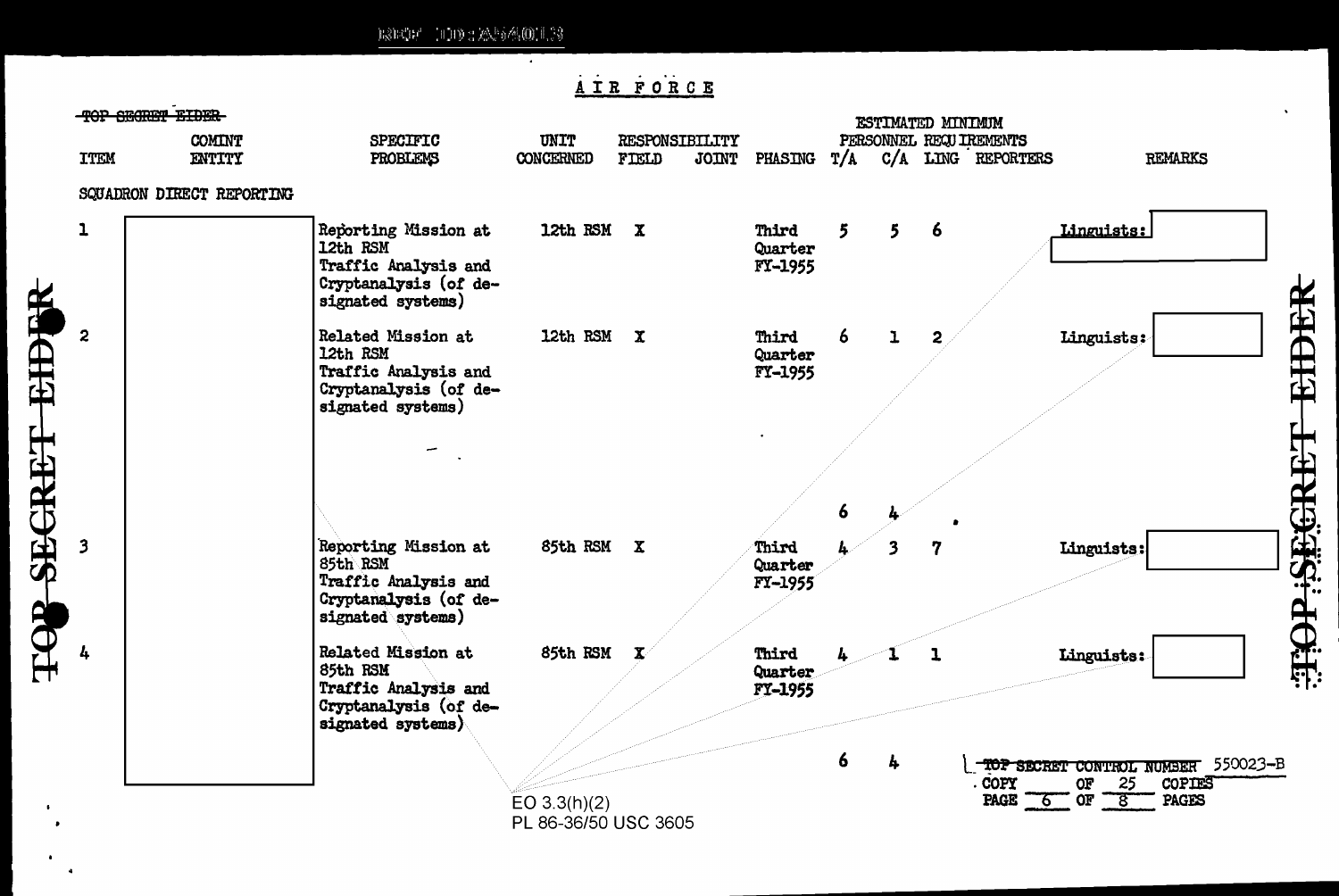$\text{BSECE}^{\text{b}}_{\text{c}}(\mathbb{R})^{\text{b}} = \text{BSESE}^{\text{b}}_{\text{c}}(\mathbb{R}) \otimes \text{BSE}^{\text{b}}_{\text{c}}(\mathbb{R})$ 

 $\bullet$  $\ddot{\phantom{a}}$ 

### AIR FORCE

| <b>COMINT</b><br><b>ITEM</b><br>ENTITY | <b>SPECIFIC</b><br>PROBLEMS                                                                            | UNIT<br>CONCERNED | FIELD | RESPONSIBILITY | JOINT PHASING               | T/A |                         | ESTIMATED MINIMUM | PERSONNEL REQUIREMENTS<br>C/A LING REPORTERS | <b>REMARKS</b>                                              |
|----------------------------------------|--------------------------------------------------------------------------------------------------------|-------------------|-------|----------------|-----------------------------|-----|-------------------------|-------------------|----------------------------------------------|-------------------------------------------------------------|
| SQUADRON DIRECT REPORTING              |                                                                                                        |                   |       |                |                             |     |                         |                   |                                              |                                                             |
| 1                                      | Reporting Mission at<br>12th RSM<br>Traffic Analysis and<br>Cryptanalysis (of de-<br>signated systems) | 12th RSM X        |       |                | Third<br>Quarter<br>FY-1955 | 5   | 5                       | 6                 | Linguists:                                   |                                                             |
| $\mathbf{z}$                           | Related Mission at<br>12th RSM<br>Traffic Analysis and<br>Cryptanalysis (of de-<br>signated systems)   | 12th RSM X        |       |                | Third<br>Quarter<br>FY-1955 | 6   | ı                       | 2                 | Linguists:                                   |                                                             |
| $\mathbf{3}$                           | Reporting Mission at<br>85th RSM<br>Traffic Analysis and                                               | 85th RSM X        |       |                | Third<br>Quarter<br>FY-1955 | 6   | $\overline{\mathbf{3}}$ | 7                 | Linguists:                                   |                                                             |
|                                        | Cryptanalysis (of de-<br>signated systems)                                                             |                   |       |                |                             |     |                         |                   |                                              |                                                             |
|                                        | Related Mission at<br>85th RSM<br>Traffic Analysis and<br>Cryptanalysis (of de-<br>signated systems)   | 85th RSM          |       |                | Third<br>Quarter<br>FY-1955 |     |                         | ı                 | Linguists:                                   |                                                             |
|                                        |                                                                                                        | EO $3.3(h)(2)$    |       |                |                             | 6   | 4                       |                   | . COPY<br><b>OF</b><br>PAGE $60r - 8$        | TOP SECRET CONTROL NUMBER 550023-B<br>25<br>COPIES<br>PAGES |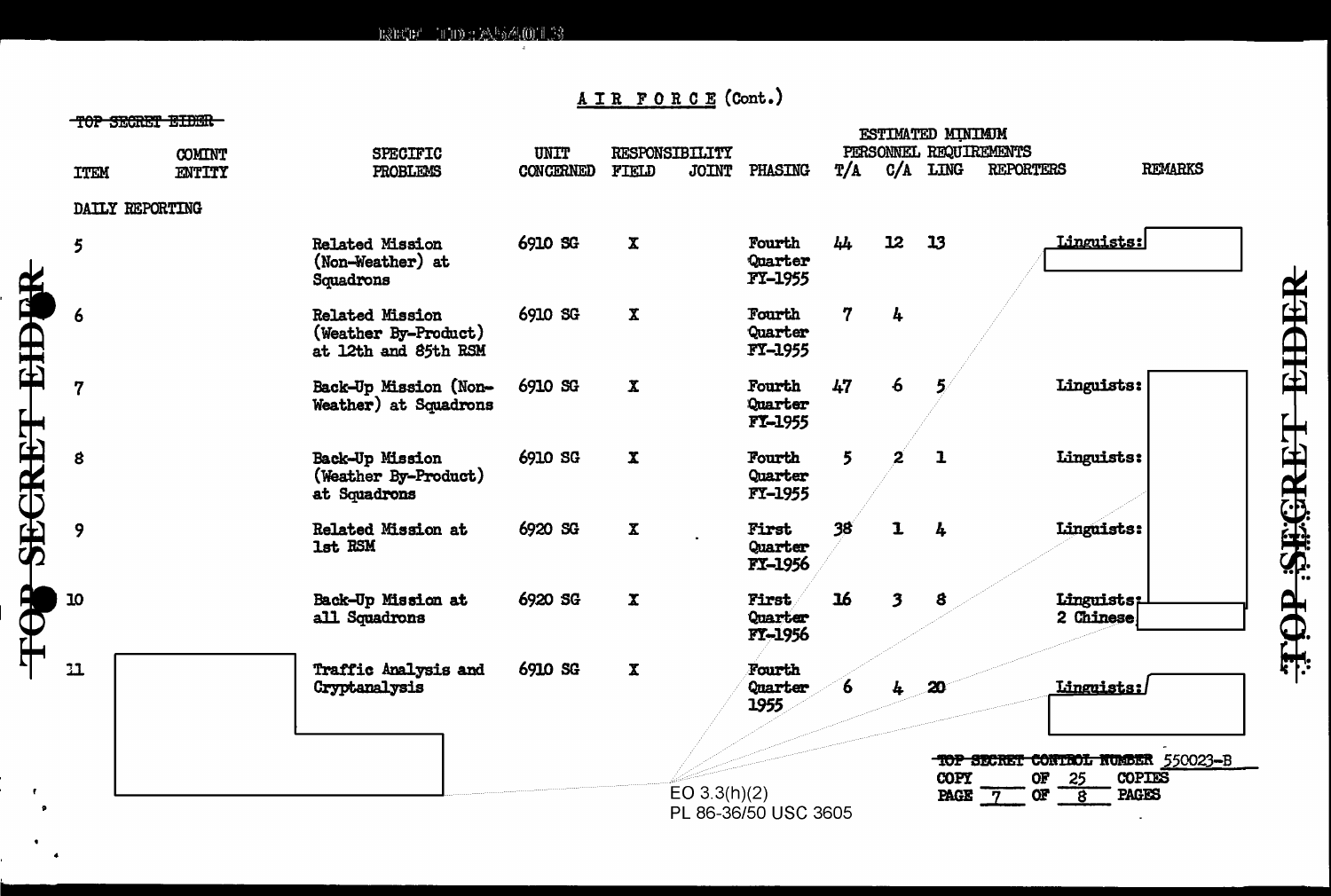$ESF'''' = 110228566(0)1.3$ 

#### AIR FORCE (Cont.)

#### MAR GRADER TITING

TOP SECRET EIDER

 $\pmb{\tau}$ 

|             | <u>TAL DEATET BIDER</u> |                                                                        |                   |                         | ESTIMATED MINIMUM<br>PERSONNEL REQUIREMENTS |                 |                         |                         |                                                                                                        |                |  |  |  |
|-------------|-------------------------|------------------------------------------------------------------------|-------------------|-------------------------|---------------------------------------------|-----------------|-------------------------|-------------------------|--------------------------------------------------------------------------------------------------------|----------------|--|--|--|
| <b>ITEM</b> | <b>COMINT</b><br>ENTITY | <b>SPECIFIC</b><br>PROBLEMS                                            | UNIT<br>CONCERNED | RESPONSIBILITY<br>FIELD | JOINT PHASING                               | T/A             | C/A                     | LING                    | <b>REPORTERS</b>                                                                                       | <b>REMARKS</b> |  |  |  |
|             | DAILY REPORTING         |                                                                        |                   |                         |                                             |                 |                         |                         |                                                                                                        |                |  |  |  |
| 5           |                         | <b>Related Mission</b><br>(Non-Weather) at<br>Squadrons                | 6910 SG           | $\mathbf{x}$            | Fourth<br>Quarter<br>FY-1955                | 44              | 12                      | 13                      | Linguists:                                                                                             |                |  |  |  |
| 6           |                         | <b>Related Mission</b><br>(Weather By-Product)<br>at 12th and 85th RSM | 6910 SG           | $\mathbf{x}$            | Fourth<br>Quarter<br><b>FY-1955</b>         | 7               | 4                       |                         |                                                                                                        |                |  |  |  |
| 7           |                         | Back-Up Mission (Non-<br>Weather) at Squadrons                         | 6910 SG           | $\mathbf x$             | Fourth<br>Quarter<br><b>FY-1955</b>         | 47              | $6\phantom{1}6$         |                         | Linguists:                                                                                             |                |  |  |  |
| 8           |                         | Back-Up Mission<br>(Weather By-Product)<br>at Squadrons                | 6910 SG           | $\mathbf x$             | Fourth<br>Quarter<br>FY-1955                | 5               |                         | $\mathbf{I}$            | Linguists:                                                                                             |                |  |  |  |
| 9           |                         | Related Mission at<br>1st RSM                                          | 6920 SG           | $\mathbf x$             | First<br>Quarter<br>FI-1956                 | 38 <sup>7</sup> | $\mathbf 1$             | 4                       | Linguists:                                                                                             |                |  |  |  |
| 10          |                         | Back-Up Mission at<br>all Squadrons                                    | 6920 SG           | $\mathbf x$             | <b>First</b><br>Quarter<br>FT-1956          | 16              | $\overline{\mathbf{3}}$ | 8                       | Linguists;<br>2 Chinese                                                                                |                |  |  |  |
| 11          |                         | Traffic Analysis and<br>Cryptanalysis                                  | 6910 SG           | $\mathbf x$             | Fourth<br>Quarter<br>1955                   | 6               | 4                       | 20                      | Linguists:                                                                                             |                |  |  |  |
|             |                         |                                                                        |                   | EO $3.3(h)(2)$          | PL 86-36/50 USC 3605                        |                 |                         | <b>COPY</b><br>PAGE $7$ | TOP SECRET CONTROL NUMBER 550023-B<br>OF<br>25<br><b>OF</b><br><b>PAGES</b><br>$\overline{\mathbf{8}}$ | <b>COPIES</b>  |  |  |  |

**AHOP SEGRET EIDER**